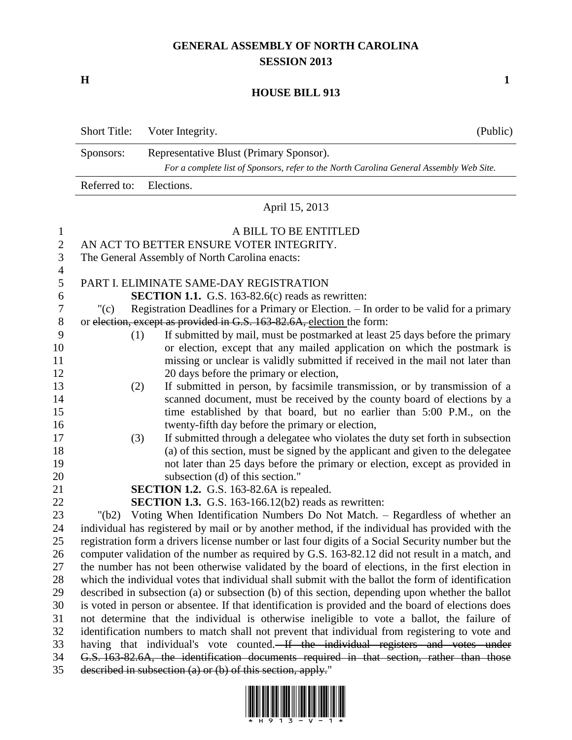## **GENERAL ASSEMBLY OF NORTH CAROLINA SESSION 2013**

**H 1**

## **HOUSE BILL 913**

|    | <b>Short Title:</b>                                                                     | Voter Integrity.                                                                       | (Public) |  |  |  |  |
|----|-----------------------------------------------------------------------------------------|----------------------------------------------------------------------------------------|----------|--|--|--|--|
|    | Representative Blust (Primary Sponsor).<br>Sponsors:                                    |                                                                                        |          |  |  |  |  |
|    | For a complete list of Sponsors, refer to the North Carolina General Assembly Web Site. |                                                                                        |          |  |  |  |  |
|    | Referred to:<br>Elections.                                                              |                                                                                        |          |  |  |  |  |
|    |                                                                                         | April 15, 2013                                                                         |          |  |  |  |  |
|    |                                                                                         | A BILL TO BE ENTITLED                                                                  |          |  |  |  |  |
|    | AN ACT TO BETTER ENSURE VOTER INTEGRITY.                                                |                                                                                        |          |  |  |  |  |
| 3  | The General Assembly of North Carolina enacts:                                          |                                                                                        |          |  |  |  |  |
| 4  |                                                                                         |                                                                                        |          |  |  |  |  |
| 5  |                                                                                         | PART L ELIMINATE SAME-DAY REGISTRATION                                                 |          |  |  |  |  |
| 6  |                                                                                         | <b>SECTION 1.1.</b> G.S. 163-82.6(c) reads as rewritten:                               |          |  |  |  |  |
|    | " $(c)$                                                                                 | Registration Deadlines for a Primary or Election. - In order to be valid for a primary |          |  |  |  |  |
| 8  |                                                                                         | or election, except as provided in G.S. 163-82.6A, election the form:                  |          |  |  |  |  |
| 9  | (1)                                                                                     | If submitted by mail, must be postmarked at least 25 days before the primary           |          |  |  |  |  |
| 10 |                                                                                         | or election, except that any mailed application on which the postmark is               |          |  |  |  |  |

- missing or unclear is validly submitted if received in the mail not later than 12 20 days before the primary or election, (2) If submitted in person, by facsimile transmission, or by transmission of a
- 14 scanned document, must be received by the county board of elections by a 15 time established by that board, but no earlier than 5:00 P.M., on the twenty-fifth day before the primary or election,
- (3) If submitted through a delegatee who violates the duty set forth in subsection (a) of this section, must be signed by the applicant and given to the delegatee not later than 25 days before the primary or election, except as provided in subsection (d) of this section."
- **SECTION 1.2.** G.S. 163-82.6A is repealed.

**SECTION 1.3.** G.S. 163-166.12(b2) reads as rewritten:

 "(b2) Voting When Identification Numbers Do Not Match. – Regardless of whether an individual has registered by mail or by another method, if the individual has provided with the registration form a drivers license number or last four digits of a Social Security number but the computer validation of the number as required by G.S. 163-82.12 did not result in a match, and the number has not been otherwise validated by the board of elections, in the first election in which the individual votes that individual shall submit with the ballot the form of identification described in subsection (a) or subsection (b) of this section, depending upon whether the ballot is voted in person or absentee. If that identification is provided and the board of elections does not determine that the individual is otherwise ineligible to vote a ballot, the failure of identification numbers to match shall not prevent that individual from registering to vote and having that individual's vote counted. If the individual registers and votes under G.S. 163-82.6A, the identification documents required in that section, rather than those described in subsection (a) or (b) of this section, apply."

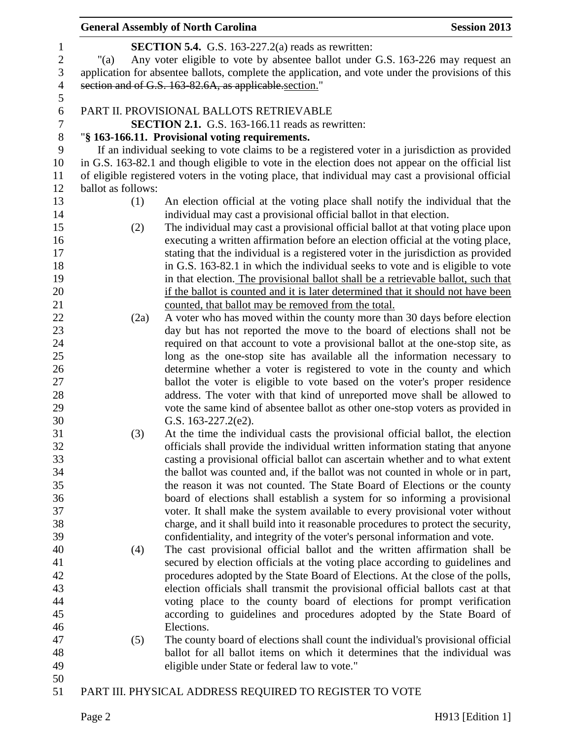|                |                    | <b>General Assembly of North Carolina</b>                                                          | <b>Session 2013</b> |
|----------------|--------------------|----------------------------------------------------------------------------------------------------|---------------------|
| 1              |                    | <b>SECTION 5.4.</b> G.S. 163-227.2(a) reads as rewritten:                                          |                     |
| $\sqrt{2}$     | "(a)               | Any voter eligible to vote by absentee ballot under G.S. 163-226 may request an                    |                     |
| $\mathfrak{Z}$ |                    | application for absentee ballots, complete the application, and vote under the provisions of this  |                     |
| $\overline{4}$ |                    | section and of G.S. 163-82.6A, as applicable section."                                             |                     |
| 5              |                    |                                                                                                    |                     |
| 6              |                    | PART II. PROVISIONAL BALLOTS RETRIEVABLE                                                           |                     |
| 7              |                    | <b>SECTION 2.1.</b> G.S. 163-166.11 reads as rewritten:                                            |                     |
| $8\,$          |                    | "§ 163-166.11. Provisional voting requirements.                                                    |                     |
| 9              |                    | If an individual seeking to vote claims to be a registered voter in a jurisdiction as provided     |                     |
| 10             |                    | in G.S. 163-82.1 and though eligible to vote in the election does not appear on the official list  |                     |
| 11             |                    | of eligible registered voters in the voting place, that individual may cast a provisional official |                     |
| 12             | ballot as follows: |                                                                                                    |                     |
| 13             | (1)                | An election official at the voting place shall notify the individual that the                      |                     |
| 14             |                    | individual may cast a provisional official ballot in that election.                                |                     |
| 15             | (2)                | The individual may cast a provisional official ballot at that voting place upon                    |                     |
| 16             |                    | executing a written affirmation before an election official at the voting place,                   |                     |
| 17             |                    | stating that the individual is a registered voter in the jurisdiction as provided                  |                     |
| 18             |                    | in G.S. 163-82.1 in which the individual seeks to vote and is eligible to vote                     |                     |
| 19             |                    | in that election. The provisional ballot shall be a retrievable ballot, such that                  |                     |
| 20             |                    | if the ballot is counted and it is later determined that it should not have been                   |                     |
| 21             |                    | counted, that ballot may be removed from the total.                                                |                     |
| 22             | (2a)               | A voter who has moved within the county more than 30 days before election                          |                     |
| 23             |                    | day but has not reported the move to the board of elections shall not be                           |                     |
| 24             |                    | required on that account to vote a provisional ballot at the one-stop site, as                     |                     |
| 25             |                    | long as the one-stop site has available all the information necessary to                           |                     |
| 26             |                    | determine whether a voter is registered to vote in the county and which                            |                     |
| 27             |                    | ballot the voter is eligible to vote based on the voter's proper residence                         |                     |
| 28             |                    | address. The voter with that kind of unreported move shall be allowed to                           |                     |
| 29             |                    | vote the same kind of absentee ballot as other one-stop voters as provided in                      |                     |
| 30             |                    | G.S. $163-227.2(e2)$ .                                                                             |                     |
| 31             | (3)                | At the time the individual casts the provisional official ballot, the election                     |                     |
| 32             |                    | officials shall provide the individual written information stating that anyone                     |                     |
| 33             |                    | casting a provisional official ballot can ascertain whether and to what extent                     |                     |
| 34             |                    | the ballot was counted and, if the ballot was not counted in whole or in part,                     |                     |
| 35             |                    | the reason it was not counted. The State Board of Elections or the county                          |                     |
| 36             |                    | board of elections shall establish a system for so informing a provisional                         |                     |
| 37             |                    | voter. It shall make the system available to every provisional voter without                       |                     |
| 38             |                    | charge, and it shall build into it reasonable procedures to protect the security,                  |                     |
| 39             |                    | confidentiality, and integrity of the voter's personal information and vote.                       |                     |
| 40             | (4)                | The cast provisional official ballot and the written affirmation shall be                          |                     |
| 41             |                    | secured by election officials at the voting place according to guidelines and                      |                     |
| 42             |                    | procedures adopted by the State Board of Elections. At the close of the polls,                     |                     |
| 43             |                    | election officials shall transmit the provisional official ballots cast at that                    |                     |
| 44             |                    | voting place to the county board of elections for prompt verification                              |                     |
| 45             |                    | according to guidelines and procedures adopted by the State Board of                               |                     |
| 46             |                    | Elections.                                                                                         |                     |
| 47             | (5)                | The county board of elections shall count the individual's provisional official                    |                     |
| 48             |                    | ballot for all ballot items on which it determines that the individual was                         |                     |
| 49             |                    | eligible under State or federal law to vote."                                                      |                     |
| 50             |                    |                                                                                                    |                     |
| 51             |                    | PART III. PHYSICAL ADDRESS REQUIRED TO REGISTER TO VOTE                                            |                     |
|                |                    |                                                                                                    |                     |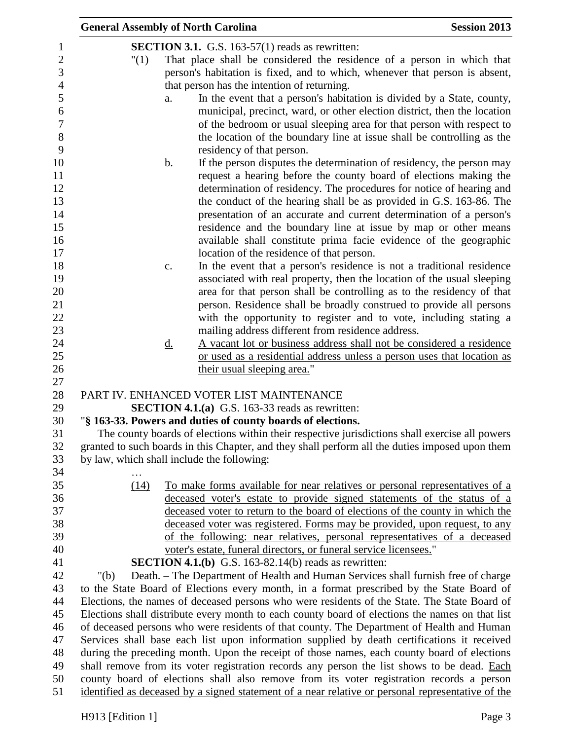|                                                                                                 | <b>General Assembly of North Carolina</b>                                                                                                                                                     |           |                                                                                                 | <b>Session 2013</b> |
|-------------------------------------------------------------------------------------------------|-----------------------------------------------------------------------------------------------------------------------------------------------------------------------------------------------|-----------|-------------------------------------------------------------------------------------------------|---------------------|
|                                                                                                 |                                                                                                                                                                                               |           | <b>SECTION 3.1.</b> G.S. 163-57(1) reads as rewritten:                                          |                     |
|                                                                                                 | "(1)                                                                                                                                                                                          |           |                                                                                                 |                     |
|                                                                                                 | That place shall be considered the residence of a person in which that<br>person's habitation is fixed, and to which, whenever that person is absent,                                         |           |                                                                                                 |                     |
|                                                                                                 | that person has the intention of returning.                                                                                                                                                   |           |                                                                                                 |                     |
|                                                                                                 |                                                                                                                                                                                               | a.        | In the event that a person's habitation is divided by a State, county,                          |                     |
|                                                                                                 |                                                                                                                                                                                               |           | municipal, precinct, ward, or other election district, then the location                        |                     |
|                                                                                                 |                                                                                                                                                                                               |           | of the bedroom or usual sleeping area for that person with respect to                           |                     |
|                                                                                                 |                                                                                                                                                                                               |           | the location of the boundary line at issue shall be controlling as the                          |                     |
|                                                                                                 |                                                                                                                                                                                               |           | residency of that person.                                                                       |                     |
|                                                                                                 |                                                                                                                                                                                               | b.        | If the person disputes the determination of residency, the person may                           |                     |
|                                                                                                 |                                                                                                                                                                                               |           | request a hearing before the county board of elections making the                               |                     |
|                                                                                                 |                                                                                                                                                                                               |           | determination of residency. The procedures for notice of hearing and                            |                     |
|                                                                                                 |                                                                                                                                                                                               |           | the conduct of the hearing shall be as provided in G.S. 163-86. The                             |                     |
|                                                                                                 |                                                                                                                                                                                               |           | presentation of an accurate and current determination of a person's                             |                     |
|                                                                                                 |                                                                                                                                                                                               |           | residence and the boundary line at issue by map or other means                                  |                     |
|                                                                                                 |                                                                                                                                                                                               |           | available shall constitute prima facie evidence of the geographic                               |                     |
|                                                                                                 |                                                                                                                                                                                               |           | location of the residence of that person.                                                       |                     |
|                                                                                                 |                                                                                                                                                                                               | c.        | In the event that a person's residence is not a traditional residence                           |                     |
|                                                                                                 |                                                                                                                                                                                               |           | associated with real property, then the location of the usual sleeping                          |                     |
|                                                                                                 |                                                                                                                                                                                               |           | area for that person shall be controlling as to the residency of that                           |                     |
|                                                                                                 |                                                                                                                                                                                               |           | person. Residence shall be broadly construed to provide all persons                             |                     |
|                                                                                                 |                                                                                                                                                                                               |           | with the opportunity to register and to vote, including stating a                               |                     |
|                                                                                                 |                                                                                                                                                                                               |           | mailing address different from residence address.                                               |                     |
|                                                                                                 |                                                                                                                                                                                               | <u>d.</u> | A vacant lot or business address shall not be considered a residence                            |                     |
|                                                                                                 |                                                                                                                                                                                               |           | or used as a residential address unless a person uses that location as                          |                     |
|                                                                                                 |                                                                                                                                                                                               |           | their usual sleeping area."                                                                     |                     |
|                                                                                                 |                                                                                                                                                                                               |           |                                                                                                 |                     |
|                                                                                                 |                                                                                                                                                                                               |           | PART IV. ENHANCED VOTER LIST MAINTENANCE                                                        |                     |
|                                                                                                 |                                                                                                                                                                                               |           | <b>SECTION 4.1.(a)</b> G.S. 163-33 reads as rewritten:                                          |                     |
|                                                                                                 |                                                                                                                                                                                               |           | "§ 163-33. Powers and duties of county boards of elections.                                     |                     |
|                                                                                                 |                                                                                                                                                                                               |           | The county boards of elections within their respective jurisdictions shall exercise all powers  |                     |
|                                                                                                 |                                                                                                                                                                                               |           | granted to such boards in this Chapter, and they shall perform all the duties imposed upon them |                     |
|                                                                                                 | by law, which shall include the following:                                                                                                                                                    |           |                                                                                                 |                     |
|                                                                                                 |                                                                                                                                                                                               |           |                                                                                                 |                     |
|                                                                                                 | (14)                                                                                                                                                                                          |           | To make forms available for near relatives or personal representatives of a                     |                     |
|                                                                                                 |                                                                                                                                                                                               |           | deceased voter's estate to provide signed statements of the status of a                         |                     |
|                                                                                                 |                                                                                                                                                                                               |           | deceased voter to return to the board of elections of the county in which the                   |                     |
|                                                                                                 |                                                                                                                                                                                               |           | deceased voter was registered. Forms may be provided, upon request, to any                      |                     |
|                                                                                                 |                                                                                                                                                                                               |           | of the following: near relatives, personal representatives of a deceased                        |                     |
|                                                                                                 |                                                                                                                                                                                               |           | voter's estate, funeral directors, or funeral service licensees."                               |                     |
|                                                                                                 |                                                                                                                                                                                               |           | <b>SECTION 4.1.(b)</b> G.S. 163-82.14(b) reads as rewritten:                                    |                     |
|                                                                                                 | " $(b)$                                                                                                                                                                                       |           | Death. - The Department of Health and Human Services shall furnish free of charge               |                     |
|                                                                                                 |                                                                                                                                                                                               |           | to the State Board of Elections every month, in a format prescribed by the State Board of       |                     |
| Elections, the names of deceased persons who were residents of the State. The State Board of    |                                                                                                                                                                                               |           |                                                                                                 |                     |
| Elections shall distribute every month to each county board of elections the names on that list |                                                                                                                                                                                               |           |                                                                                                 |                     |
| of deceased persons who were residents of that county. The Department of Health and Human       |                                                                                                                                                                                               |           |                                                                                                 |                     |
|                                                                                                 |                                                                                                                                                                                               |           | Services shall base each list upon information supplied by death certifications it received     |                     |
| during the preceding month. Upon the receipt of those names, each county board of elections     |                                                                                                                                                                                               |           |                                                                                                 |                     |
|                                                                                                 | shall remove from its voter registration records any person the list shows to be dead. Each                                                                                                   |           |                                                                                                 |                     |
|                                                                                                 | county board of elections shall also remove from its voter registration records a person<br>identified as deceased by a signed statement of a near relative or personal representative of the |           |                                                                                                 |                     |
|                                                                                                 |                                                                                                                                                                                               |           |                                                                                                 |                     |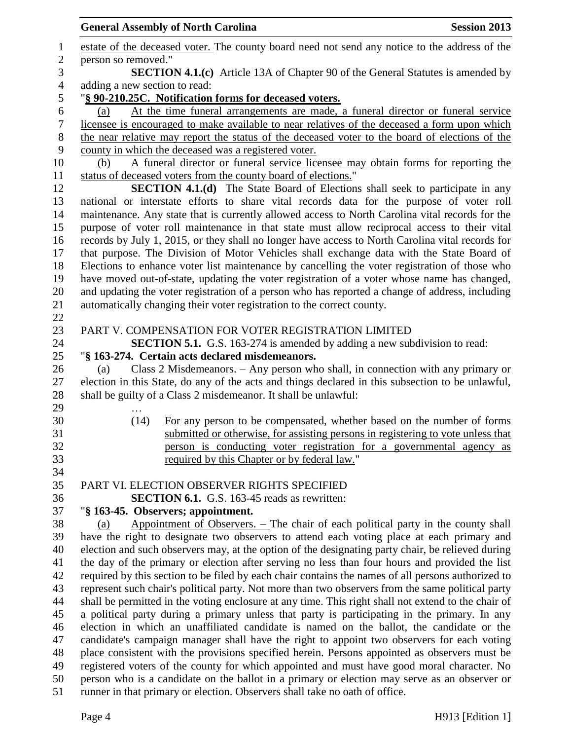|                  | <b>General Assembly of North Carolina</b>                                                  |                                                                                                     | <b>Session 2013</b> |  |  |
|------------------|--------------------------------------------------------------------------------------------|-----------------------------------------------------------------------------------------------------|---------------------|--|--|
| $\mathbf{1}$     |                                                                                            | estate of the deceased voter. The county board need not send any notice to the address of the       |                     |  |  |
| $\mathbf{2}$     | person so removed."                                                                        |                                                                                                     |                     |  |  |
| 3                |                                                                                            | <b>SECTION 4.1.(c)</b> Article 13A of Chapter 90 of the General Statutes is amended by              |                     |  |  |
| $\overline{4}$   | adding a new section to read:                                                              |                                                                                                     |                     |  |  |
| 5                |                                                                                            | "§ 90-210.25C. Notification forms for deceased voters.                                              |                     |  |  |
| 6                | (a)                                                                                        | At the time funeral arrangements are made, a funeral director or funeral service                    |                     |  |  |
| $\boldsymbol{7}$ |                                                                                            | licensee is encouraged to make available to near relatives of the deceased a form upon which        |                     |  |  |
| $8\,$            |                                                                                            | the near relative may report the status of the deceased voter to the board of elections of the      |                     |  |  |
| 9                |                                                                                            | county in which the deceased was a registered voter.                                                |                     |  |  |
| 10               | (b)                                                                                        | A funeral director or funeral service licensee may obtain forms for reporting the                   |                     |  |  |
| 11               |                                                                                            | status of deceased voters from the county board of elections."                                      |                     |  |  |
| 12               |                                                                                            | <b>SECTION 4.1.(d)</b> The State Board of Elections shall seek to participate in any                |                     |  |  |
| 13               |                                                                                            | national or interstate efforts to share vital records data for the purpose of voter roll            |                     |  |  |
| 14               |                                                                                            | maintenance. Any state that is currently allowed access to North Carolina vital records for the     |                     |  |  |
| 15               |                                                                                            | purpose of voter roll maintenance in that state must allow reciprocal access to their vital         |                     |  |  |
| 16               |                                                                                            | records by July 1, 2015, or they shall no longer have access to North Carolina vital records for    |                     |  |  |
| 17               |                                                                                            | that purpose. The Division of Motor Vehicles shall exchange data with the State Board of            |                     |  |  |
| 18               |                                                                                            | Elections to enhance voter list maintenance by cancelling the voter registration of those who       |                     |  |  |
| 19               |                                                                                            | have moved out-of-state, updating the voter registration of a voter whose name has changed,         |                     |  |  |
| 20               |                                                                                            | and updating the voter registration of a person who has reported a change of address, including     |                     |  |  |
| 21               |                                                                                            | automatically changing their voter registration to the correct county.                              |                     |  |  |
| 22               |                                                                                            |                                                                                                     |                     |  |  |
| 23               |                                                                                            | PART V. COMPENSATION FOR VOTER REGISTRATION LIMITED                                                 |                     |  |  |
| 24               |                                                                                            | <b>SECTION 5.1.</b> G.S. 163-274 is amended by adding a new subdivision to read:                    |                     |  |  |
| 25               |                                                                                            | "§ 163-274. Certain acts declared misdemeanors.                                                     |                     |  |  |
| 26               | (a)                                                                                        | Class 2 Misdemeanors. – Any person who shall, in connection with any primary or                     |                     |  |  |
| 27               |                                                                                            | election in this State, do any of the acts and things declared in this subsection to be unlawful,   |                     |  |  |
| 28               |                                                                                            | shall be guilty of a Class 2 misdemeanor. It shall be unlawful:                                     |                     |  |  |
| 29               |                                                                                            |                                                                                                     |                     |  |  |
| 30               | (14)                                                                                       | For any person to be compensated, whether based on the number of forms                              |                     |  |  |
| 31               |                                                                                            | submitted or otherwise, for assisting persons in registering to vote unless that                    |                     |  |  |
| 32               |                                                                                            | person is conducting voter registration for a governmental agency as                                |                     |  |  |
| 33               |                                                                                            | required by this Chapter or by federal law."                                                        |                     |  |  |
| 34               |                                                                                            |                                                                                                     |                     |  |  |
| 35               |                                                                                            | PART VI. ELECTION OBSERVER RIGHTS SPECIFIED                                                         |                     |  |  |
| 36               |                                                                                            | <b>SECTION 6.1.</b> G.S. 163-45 reads as rewritten:                                                 |                     |  |  |
| 37               |                                                                                            | "§ 163-45. Observers; appointment.                                                                  |                     |  |  |
| 38               | (a)                                                                                        | Appointment of Observers. $-$ The chair of each political party in the county shall                 |                     |  |  |
| 39               |                                                                                            | have the right to designate two observers to attend each voting place at each primary and           |                     |  |  |
| 40               |                                                                                            | election and such observers may, at the option of the designating party chair, be relieved during   |                     |  |  |
| 41               |                                                                                            | the day of the primary or election after serving no less than four hours and provided the list      |                     |  |  |
| 42               |                                                                                            | required by this section to be filed by each chair contains the names of all persons authorized to  |                     |  |  |
| 43               |                                                                                            | represent such chair's political party. Not more than two observers from the same political party   |                     |  |  |
| 44               |                                                                                            | shall be permitted in the voting enclosure at any time. This right shall not extend to the chair of |                     |  |  |
| 45               |                                                                                            | a political party during a primary unless that party is participating in the primary. In any        |                     |  |  |
| 46               |                                                                                            | election in which an unaffiliated candidate is named on the ballot, the candidate or the            |                     |  |  |
| 47               |                                                                                            | candidate's campaign manager shall have the right to appoint two observers for each voting          |                     |  |  |
| 48               |                                                                                            | place consistent with the provisions specified herein. Persons appointed as observers must be       |                     |  |  |
| 49               | registered voters of the county for which appointed and must have good moral character. No |                                                                                                     |                     |  |  |
| 50               |                                                                                            | person who is a candidate on the ballot in a primary or election may serve as an observer or        |                     |  |  |
| 51               |                                                                                            | runner in that primary or election. Observers shall take no oath of office.                         |                     |  |  |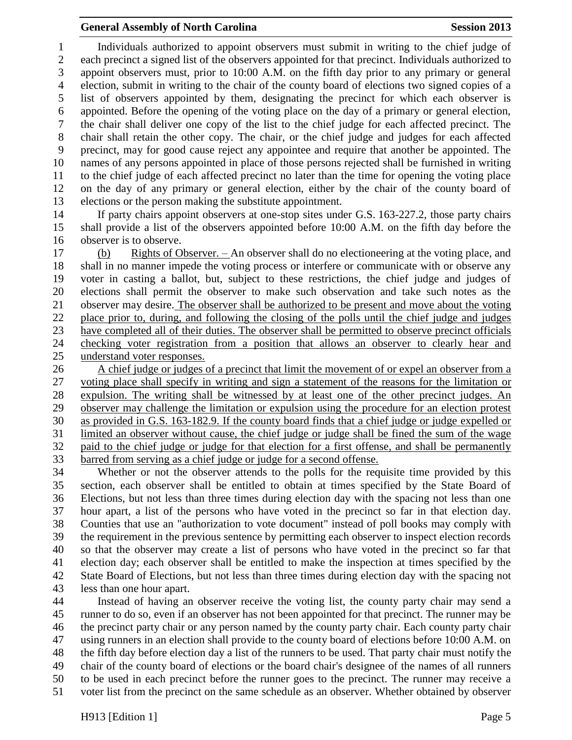## **General Assembly of North Carolina Session 2013**

 Individuals authorized to appoint observers must submit in writing to the chief judge of each precinct a signed list of the observers appointed for that precinct. Individuals authorized to appoint observers must, prior to 10:00 A.M. on the fifth day prior to any primary or general election, submit in writing to the chair of the county board of elections two signed copies of a list of observers appointed by them, designating the precinct for which each observer is appointed. Before the opening of the voting place on the day of a primary or general election, the chair shall deliver one copy of the list to the chief judge for each affected precinct. The chair shall retain the other copy. The chair, or the chief judge and judges for each affected precinct, may for good cause reject any appointee and require that another be appointed. The names of any persons appointed in place of those persons rejected shall be furnished in writing to the chief judge of each affected precinct no later than the time for opening the voting place on the day of any primary or general election, either by the chair of the county board of elections or the person making the substitute appointment.

 If party chairs appoint observers at one-stop sites under G.S. 163-227.2, those party chairs shall provide a list of the observers appointed before 10:00 A.M. on the fifth day before the observer is to observe.

 (b) Rights of Observer. – An observer shall do no electioneering at the voting place, and shall in no manner impede the voting process or interfere or communicate with or observe any voter in casting a ballot, but, subject to these restrictions, the chief judge and judges of elections shall permit the observer to make such observation and take such notes as the observer may desire. The observer shall be authorized to be present and move about the voting place prior to, during, and following the closing of the polls until the chief judge and judges have completed all of their duties. The observer shall be permitted to observe precinct officials checking voter registration from a position that allows an observer to clearly hear and understand voter responses.

 A chief judge or judges of a precinct that limit the movement of or expel an observer from a voting place shall specify in writing and sign a statement of the reasons for the limitation or expulsion. The writing shall be witnessed by at least one of the other precinct judges. An observer may challenge the limitation or expulsion using the procedure for an election protest as provided in G.S. 163-182.9. If the county board finds that a chief judge or judge expelled or limited an observer without cause, the chief judge or judge shall be fined the sum of the wage paid to the chief judge or judge for that election for a first offense, and shall be permanently barred from serving as a chief judge or judge for a second offense.

 Whether or not the observer attends to the polls for the requisite time provided by this section, each observer shall be entitled to obtain at times specified by the State Board of Elections, but not less than three times during election day with the spacing not less than one hour apart, a list of the persons who have voted in the precinct so far in that election day. Counties that use an "authorization to vote document" instead of poll books may comply with the requirement in the previous sentence by permitting each observer to inspect election records so that the observer may create a list of persons who have voted in the precinct so far that election day; each observer shall be entitled to make the inspection at times specified by the State Board of Elections, but not less than three times during election day with the spacing not less than one hour apart.

 Instead of having an observer receive the voting list, the county party chair may send a runner to do so, even if an observer has not been appointed for that precinct. The runner may be the precinct party chair or any person named by the county party chair. Each county party chair using runners in an election shall provide to the county board of elections before 10:00 A.M. on the fifth day before election day a list of the runners to be used. That party chair must notify the chair of the county board of elections or the board chair's designee of the names of all runners to be used in each precinct before the runner goes to the precinct. The runner may receive a voter list from the precinct on the same schedule as an observer. Whether obtained by observer